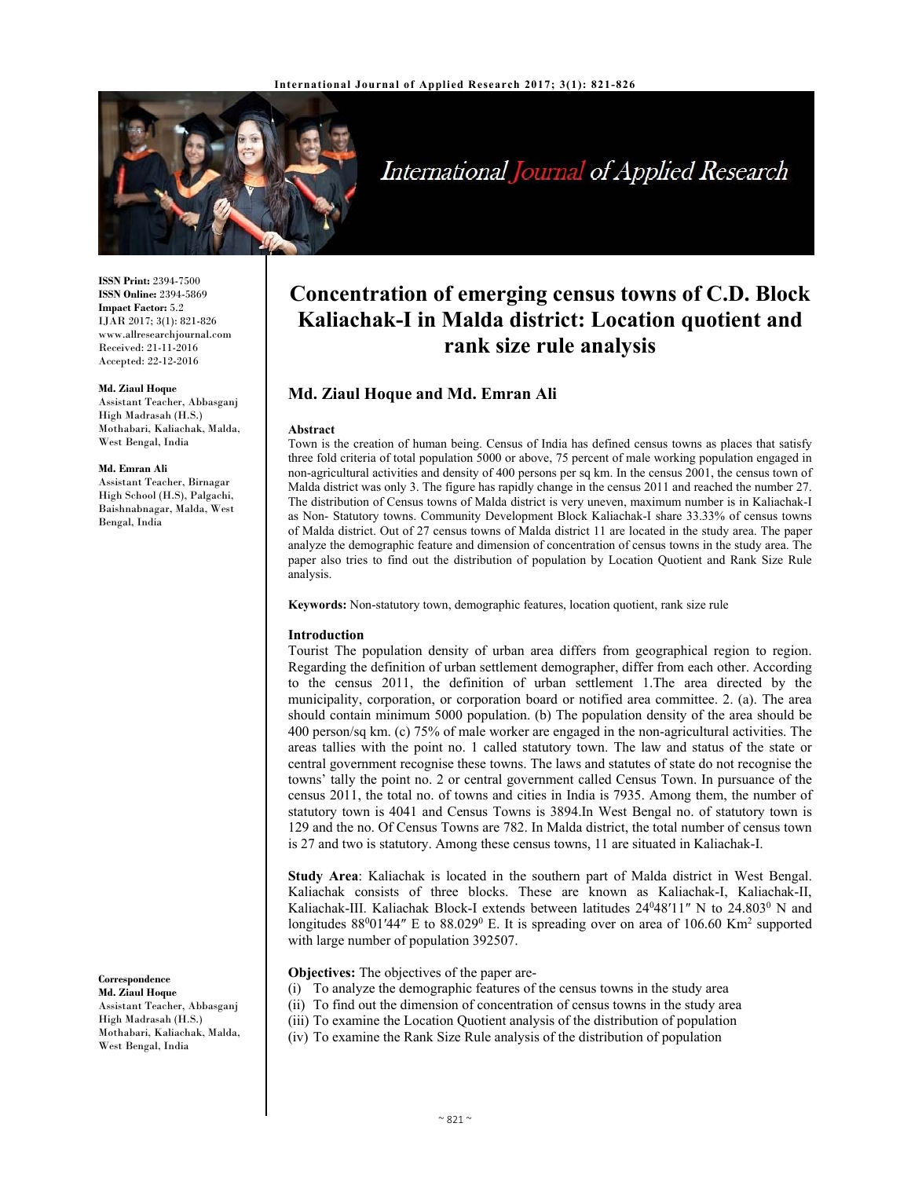

International Journal of Applied Research

**ISSN Print:** 2394-7500 **ISSN Online:** 2394-5869 **Impact Factor:** 5.2 IJAR 2017; 3(1): 821-826 www.allresearchjournal.com Received: 21-11-2016 Accepted: 22-12-2016

#### **Md. Ziaul Hoque**

Assistant Teacher, Abbasganj High Madrasah (H.S.) Mothabari, Kaliachak, Malda, West Bengal, India

#### **Md. Emran Ali**

Assistant Teacher, Birnagar High School (H.S), Palgachi, Baishnabnagar, Malda, West Bengal, India

## **Correspondence**

**Md. Ziaul Hoque**  Assistant Teacher, Abbasganj High Madrasah (H.S.) Mothabari, Kaliachak, Malda, West Bengal, India

# **Concentration of emerging census towns of C.D. Block Kaliachak-I in Malda district: Location quotient and rank size rule analysis**

# **Md. Ziaul Hoque and Md. Emran Ali**

#### **Abstract**

Town is the creation of human being. Census of India has defined census towns as places that satisfy three fold criteria of total population 5000 or above, 75 percent of male working population engaged in non-agricultural activities and density of 400 persons per sq km. In the census 2001, the census town of Malda district was only 3. The figure has rapidly change in the census 2011 and reached the number 27. The distribution of Census towns of Malda district is very uneven, maximum number is in Kaliachak-I as Non- Statutory towns. Community Development Block Kaliachak-I share 33.33% of census towns of Malda district. Out of 27 census towns of Malda district 11 are located in the study area. The paper analyze the demographic feature and dimension of concentration of census towns in the study area. The paper also tries to find out the distribution of population by Location Quotient and Rank Size Rule analysis.

**Keywords:** Non-statutory town, demographic features, location quotient, rank size rule

#### **Introduction**

Tourist The population density of urban area differs from geographical region to region. Regarding the definition of urban settlement demographer, differ from each other. According to the census 2011, the definition of urban settlement 1.The area directed by the municipality, corporation, or corporation board or notified area committee. 2. (a). The area should contain minimum 5000 population. (b) The population density of the area should be 400 person/sq km. (c) 75% of male worker are engaged in the non-agricultural activities. The areas tallies with the point no. 1 called statutory town. The law and status of the state or central government recognise these towns. The laws and statutes of state do not recognise the towns' tally the point no. 2 or central government called Census Town. In pursuance of the census 2011, the total no. of towns and cities in India is 7935. Among them, the number of statutory town is 4041 and Census Towns is 3894.In West Bengal no. of statutory town is 129 and the no. Of Census Towns are 782. In Malda district, the total number of census town is 27 and two is statutory. Among these census towns, 11 are situated in Kaliachak-I.

**Study Area**: Kaliachak is located in the southern part of Malda district in West Bengal. Kaliachak consists of three blocks. These are known as Kaliachak-I, Kaliachak-II, Kaliachak-III. Kaliachak Block-I extends between latitudes 24°48'11" N to 24.803° N and longitudes  $88^001'44''$  E to  $88.029^0$  E. It is spreading over on area of 106.60 Km<sup>2</sup> supported with large number of population 392507.

## **Objectives:** The objectives of the paper are-

- (i) To analyze the demographic features of the census towns in the study area
- (ii) To find out the dimension of concentration of census towns in the study area
- (iii) To examine the Location Quotient analysis of the distribution of population
- (iv) To examine the Rank Size Rule analysis of the distribution of population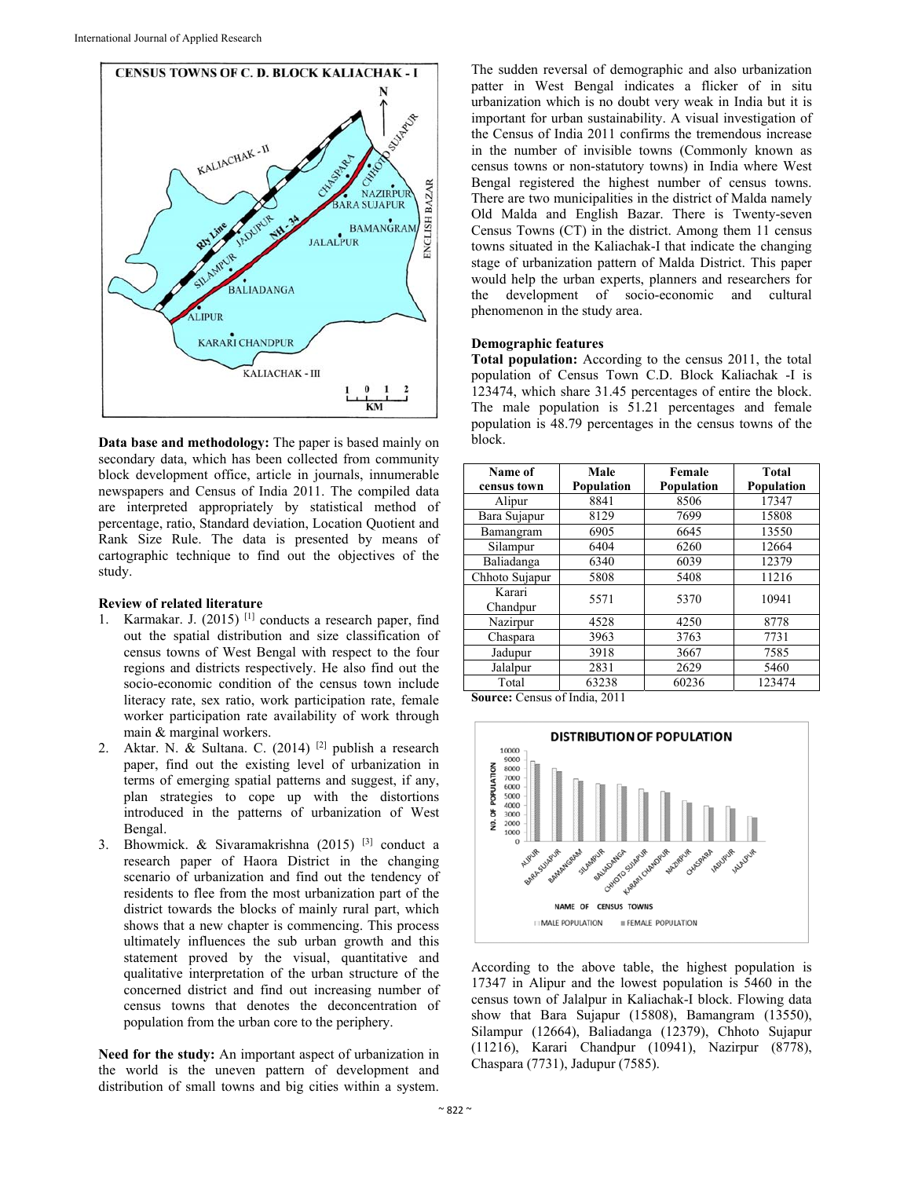

**Data base and methodology:** The paper is based mainly on secondary data, which has been collected from community block development office, article in journals, innumerable newspapers and Census of India 2011. The compiled data are interpreted appropriately by statistical method of percentage, ratio, Standard deviation, Location Quotient and Rank Size Rule. The data is presented by means of cartographic technique to find out the objectives of the study.

## **Review of related literature**

- 1. Karmakar. J. (2015) [1] conducts a research paper, find out the spatial distribution and size classification of census towns of West Bengal with respect to the four regions and districts respectively. He also find out the socio-economic condition of the census town include literacy rate, sex ratio, work participation rate, female worker participation rate availability of work through main & marginal workers.
- 2. Aktar. N. & Sultana. C. (2014) [2] publish a research paper, find out the existing level of urbanization in terms of emerging spatial patterns and suggest, if any, plan strategies to cope up with the distortions introduced in the patterns of urbanization of West Bengal.
- 3. Bhowmick. & Sivaramakrishna (2015) [3] conduct a research paper of Haora District in the changing scenario of urbanization and find out the tendency of residents to flee from the most urbanization part of the district towards the blocks of mainly rural part, which shows that a new chapter is commencing. This process ultimately influences the sub urban growth and this statement proved by the visual, quantitative and qualitative interpretation of the urban structure of the concerned district and find out increasing number of census towns that denotes the deconcentration of population from the urban core to the periphery.

**Need for the study:** An important aspect of urbanization in the world is the uneven pattern of development and distribution of small towns and big cities within a system.

The sudden reversal of demographic and also urbanization patter in West Bengal indicates a flicker of in situ urbanization which is no doubt very weak in India but it is important for urban sustainability. A visual investigation of the Census of India 2011 confirms the tremendous increase in the number of invisible towns (Commonly known as census towns or non-statutory towns) in India where West Bengal registered the highest number of census towns. There are two municipalities in the district of Malda namely Old Malda and English Bazar. There is Twenty-seven Census Towns (CT) in the district. Among them 11 census towns situated in the Kaliachak-I that indicate the changing stage of urbanization pattern of Malda District. This paper would help the urban experts, planners and researchers for the development of socio-economic and cultural phenomenon in the study area.

## **Demographic features**

**Total population:** According to the census 2011, the total population of Census Town C.D. Block Kaliachak -I is 123474, which share 31.45 percentages of entire the block. The male population is 51.21 percentages and female population is 48.79 percentages in the census towns of the block.

| Name of<br>census town | Male<br>Population  | Female<br>Population | <b>Total</b><br>Population |
|------------------------|---------------------|----------------------|----------------------------|
| Alipur                 | 8841                | 8506                 | 17347                      |
| Bara Sujapur           | 8129                | 7699                 | 15808                      |
| Bamangram              | 6905                | 6645                 | 13550                      |
| Silampur               | 6404                | 6260                 | 12664                      |
| Baliadanga             | 6340                | 6039                 | 12379                      |
| Chhoto Sujapur         | 5808                | 5408                 | 11216                      |
| Karari<br>Chandpur     | 5571                | 5370                 | 10941                      |
| Nazirpur               | 4528                | 4250                 | 8778                       |
| Chaspara               | 3963                | 3763                 | 7731                       |
| Jadupur                | 3918                | 3667                 | 7585                       |
| Jalalpur               | 2831                | 2629                 | 5460                       |
| Total<br>-             | 63238<br>$\sim$ $-$ | 60236                | 123474                     |

**Source:** Census of India, 2011



According to the above table, the highest population is 17347 in Alipur and the lowest population is 5460 in the census town of Jalalpur in Kaliachak-I block. Flowing data show that Bara Sujapur (15808), Bamangram (13550), Silampur (12664), Baliadanga (12379), Chhoto Sujapur (11216), Karari Chandpur (10941), Nazirpur (8778), Chaspara (7731), Jadupur (7585).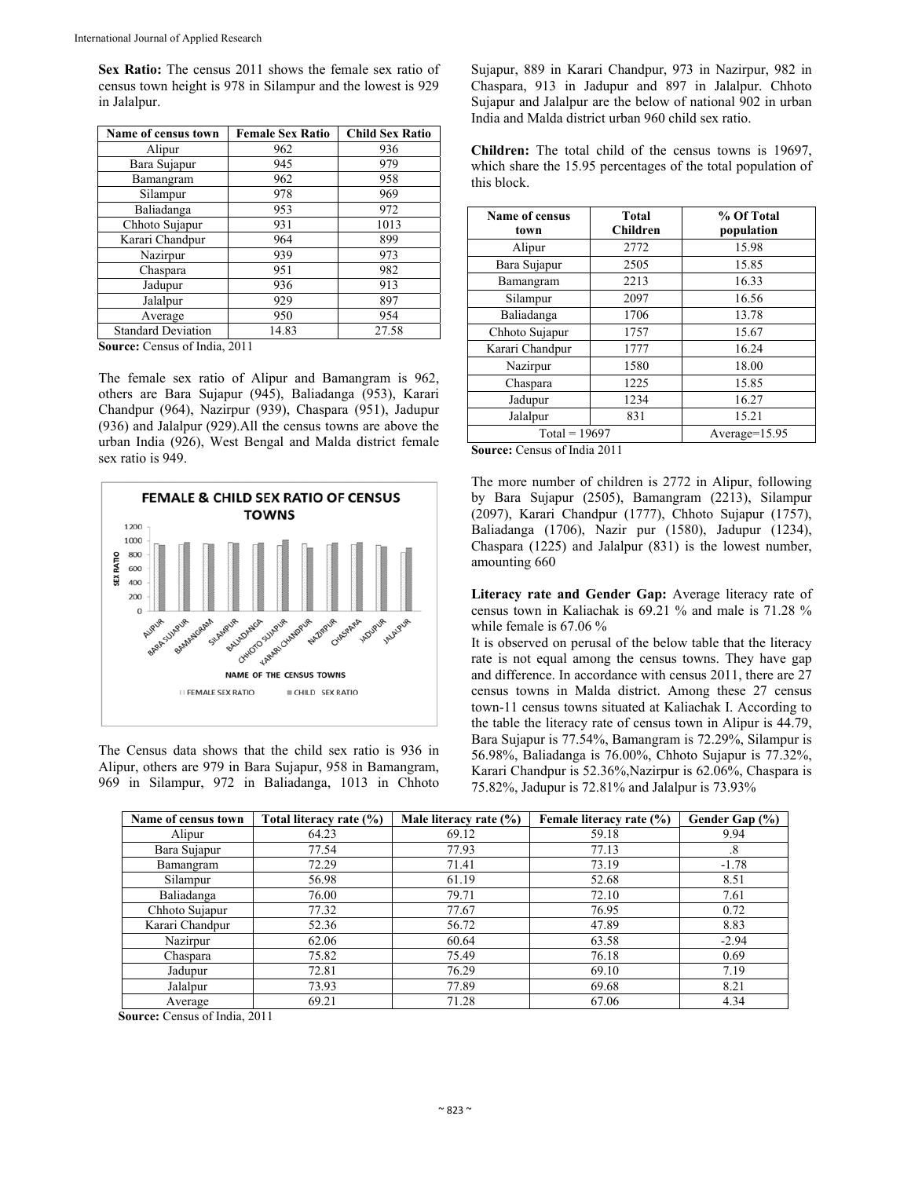**Sex Ratio:** The census 2011 shows the female sex ratio of census town height is 978 in Silampur and the lowest is 929 in Jalalpur.

| Name of census town       | <b>Female Sex Ratio</b> | <b>Child Sex Ratio</b> |
|---------------------------|-------------------------|------------------------|
| Alipur                    | 962                     | 936                    |
| Bara Sujapur              | 945                     | 979                    |
| Bamangram                 | 962                     | 958                    |
| Silampur                  | 978                     | 969                    |
| Baliadanga                | 953                     | 972                    |
| Chhoto Sujapur            | 931                     | 1013                   |
| Karari Chandpur           | 964                     | 899                    |
| Nazirpur                  | 939                     | 973                    |
| Chaspara                  | 951                     | 982                    |
| Jadupur                   | 936                     | 913                    |
| Jalalpur                  | 929                     | 897                    |
| Average                   | 950                     | 954                    |
| <b>Standard Deviation</b> | 14.83                   | 27.58                  |

**Source:** Census of India, 2011

The female sex ratio of Alipur and Bamangram is 962, others are Bara Sujapur (945), Baliadanga (953), Karari Chandpur (964), Nazirpur (939), Chaspara (951), Jadupur (936) and Jalalpur (929).All the census towns are above the urban India (926), West Bengal and Malda district female sex ratio is 949.



The Census data shows that the child sex ratio is 936 in Alipur, others are 979 in Bara Sujapur, 958 in Bamangram, 969 in Silampur, 972 in Baliadanga, 1013 in Chhoto Sujapur, 889 in Karari Chandpur, 973 in Nazirpur, 982 in Chaspara, 913 in Jadupur and 897 in Jalalpur. Chhoto Sujapur and Jalalpur are the below of national 902 in urban India and Malda district urban 960 child sex ratio.

**Children:** The total child of the census towns is 19697, which share the 15.95 percentages of the total population of this block.

| <b>Name of census</b><br>town | <b>Total</b><br><b>Children</b> | % Of Total<br>population |
|-------------------------------|---------------------------------|--------------------------|
| Alipur                        | 2772                            | 15.98                    |
| Bara Sujapur                  | 2505                            | 15.85                    |
| Bamangram                     | 2213                            | 16.33                    |
| Silampur                      | 2097                            | 16.56                    |
| Baliadanga                    | 1706                            | 13.78                    |
| Chhoto Sujapur                | 1757                            | 15.67                    |
| Karari Chandpur               | 1777                            | 16.24                    |
| Nazirpur                      | 1580                            | 18.00                    |
| Chaspara                      | 1225                            | 15.85                    |
| Jadupur                       | 1234                            | 16.27                    |
| Jalalpur                      | 831                             | 15.21                    |
| $Total = 19697$               |                                 | $Average=15.95$          |

**Source:** Census of India 2011

The more number of children is 2772 in Alipur, following by Bara Sujapur (2505), Bamangram (2213), Silampur (2097), Karari Chandpur (1777), Chhoto Sujapur (1757), Baliadanga (1706), Nazir pur (1580), Jadupur (1234), Chaspara (1225) and Jalalpur (831) is the lowest number, amounting 660

**Literacy rate and Gender Gap:** Average literacy rate of census town in Kaliachak is 69.21 % and male is 71.28 % while female is 67.06 %

It is observed on perusal of the below table that the literacy rate is not equal among the census towns. They have gap and difference. In accordance with census 2011, there are 27 census towns in Malda district. Among these 27 census town-11 census towns situated at Kaliachak I. According to the table the literacy rate of census town in Alipur is 44.79, Bara Sujapur is 77.54%, Bamangram is 72.29%, Silampur is 56.98%, Baliadanga is 76.00%, Chhoto Sujapur is 77.32%, Karari Chandpur is 52.36%,Nazirpur is 62.06%, Chaspara is 75.82%, Jadupur is 72.81% and Jalalpur is 73.93%

| Name of census town | Total literacy rate (%) | Male literacy rate $(\% )$ | Female literacy rate (%) | Gender Gap (%) |
|---------------------|-------------------------|----------------------------|--------------------------|----------------|
| Alipur              | 64.23                   | 69.12                      | 59.18                    | 9.94           |
| Bara Sujapur        | 77.54                   | 77.93                      | 77.13                    | .8             |
| Bamangram           | 72.29                   | 71.41                      | 73.19                    | $-1.78$        |
| Silampur            | 56.98                   | 61.19                      | 52.68                    | 8.51           |
| Baliadanga          | 76.00                   | 79.71                      | 72.10                    | 7.61           |
| Chhoto Sujapur      | 77.32                   | 77.67                      | 76.95                    | 0.72           |
| Karari Chandpur     | 52.36                   | 56.72                      | 47.89                    | 8.83           |
| Nazirpur            | 62.06                   | 60.64                      | 63.58                    | $-2.94$        |
| Chaspara            | 75.82                   | 75.49                      | 76.18                    | 0.69           |
| Jadupur             | 72.81                   | 76.29                      | 69.10                    | 7.19           |
| Jalalpur            | 73.93                   | 77.89                      | 69.68                    | 8.21           |
| Average             | 69.21                   | 71.28                      | 67.06                    | 4.34           |

**Source:** Census of India, 2011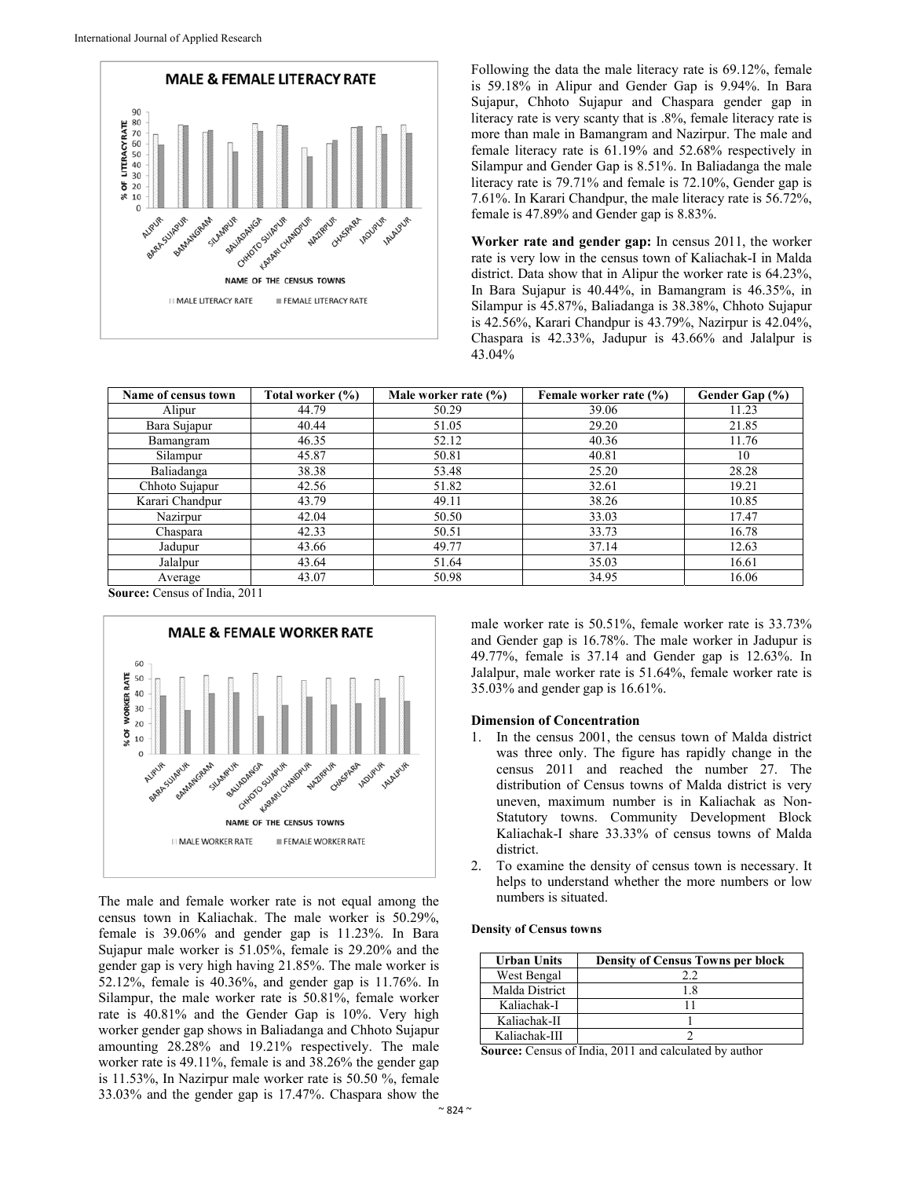

Following the data the male literacy rate is 69.12%, female is 59.18% in Alipur and Gender Gap is 9.94%. In Bara Sujapur, Chhoto Sujapur and Chaspara gender gap in literacy rate is very scanty that is .8%, female literacy rate is more than male in Bamangram and Nazirpur. The male and female literacy rate is 61.19% and 52.68% respectively in Silampur and Gender Gap is 8.51%. In Baliadanga the male literacy rate is 79.71% and female is 72.10%, Gender gap is 7.61%. In Karari Chandpur, the male literacy rate is 56.72%, female is 47.89% and Gender gap is 8.83%.

**Worker rate and gender gap:** In census 2011, the worker rate is very low in the census town of Kaliachak-I in Malda district. Data show that in Alipur the worker rate is 64.23%, In Bara Sujapur is 40.44%, in Bamangram is 46.35%, in Silampur is 45.87%, Baliadanga is 38.38%, Chhoto Sujapur is 42.56%, Karari Chandpur is 43.79%, Nazirpur is 42.04%, Chaspara is 42.33%, Jadupur is 43.66% and Jalalpur is 43.04%

| Name of census town | Total worker (%) | Male worker rate (%) | Female worker rate (%) | Gender Gap (%) |
|---------------------|------------------|----------------------|------------------------|----------------|
| Alipur              | 44.79            | 50.29                | 39.06                  | 11.23          |
| Bara Sujapur        | 40.44            | 51.05                | 29.20                  | 21.85          |
| Bamangram           | 46.35            | 52.12                | 40.36                  | 11.76          |
| Silampur            | 45.87            | 50.81                | 40.81                  | 10             |
| Baliadanga          | 38.38            | 53.48                | 25.20                  | 28.28          |
| Chhoto Sujapur      | 42.56            | 51.82                | 32.61                  | 19.21          |
| Karari Chandpur     | 43.79            | 49.11                | 38.26                  | 10.85          |
| Nazirpur            | 42.04            | 50.50                | 33.03                  | 17.47          |
| Chaspara            | 42.33            | 50.51                | 33.73                  | 16.78          |
| Jadupur             | 43.66            | 49.77                | 37.14                  | 12.63          |
| Jalalpur            | 43.64            | 51.64                | 35.03                  | 16.61          |
| Average             | 43.07            | 50.98                | 34.95                  | 16.06          |

**Source:** Census of India, 2011



The male and female worker rate is not equal among the census town in Kaliachak. The male worker is 50.29%, female is 39.06% and gender gap is 11.23%. In Bara Sujapur male worker is 51.05%, female is 29.20% and the gender gap is very high having 21.85%. The male worker is 52.12%, female is 40.36%, and gender gap is 11.76%. In Silampur, the male worker rate is 50.81%, female worker rate is 40.81% and the Gender Gap is 10%. Very high worker gender gap shows in Baliadanga and Chhoto Sujapur amounting 28.28% and 19.21% respectively. The male worker rate is 49.11%, female is and 38.26% the gender gap is 11.53%, In Nazirpur male worker rate is 50.50 %, female 33.03% and the gender gap is 17.47%. Chaspara show the

male worker rate is 50.51%, female worker rate is 33.73% and Gender gap is 16.78%. The male worker in Jadupur is 49.77%, female is 37.14 and Gender gap is 12.63%. In Jalalpur, male worker rate is 51.64%, female worker rate is 35.03% and gender gap is 16.61%.

## **Dimension of Concentration**

- 1. In the census 2001, the census town of Malda district was three only. The figure has rapidly change in the census 2011 and reached the number 27. The distribution of Census towns of Malda district is very uneven, maximum number is in Kaliachak as Non-Statutory towns. Community Development Block Kaliachak-I share 33.33% of census towns of Malda district.
- 2. To examine the density of census town is necessary. It helps to understand whether the more numbers or low numbers is situated.

#### **Density of Census towns**

| <b>Urban Units</b> | <b>Density of Census Towns per block</b> |
|--------------------|------------------------------------------|
| West Bengal        |                                          |
| Malda District     | 1.8                                      |
| Kaliachak-I        |                                          |
| Kaliachak-II       |                                          |
| Kaliachak-III      |                                          |

**Source:** Census of India, 2011 and calculated by author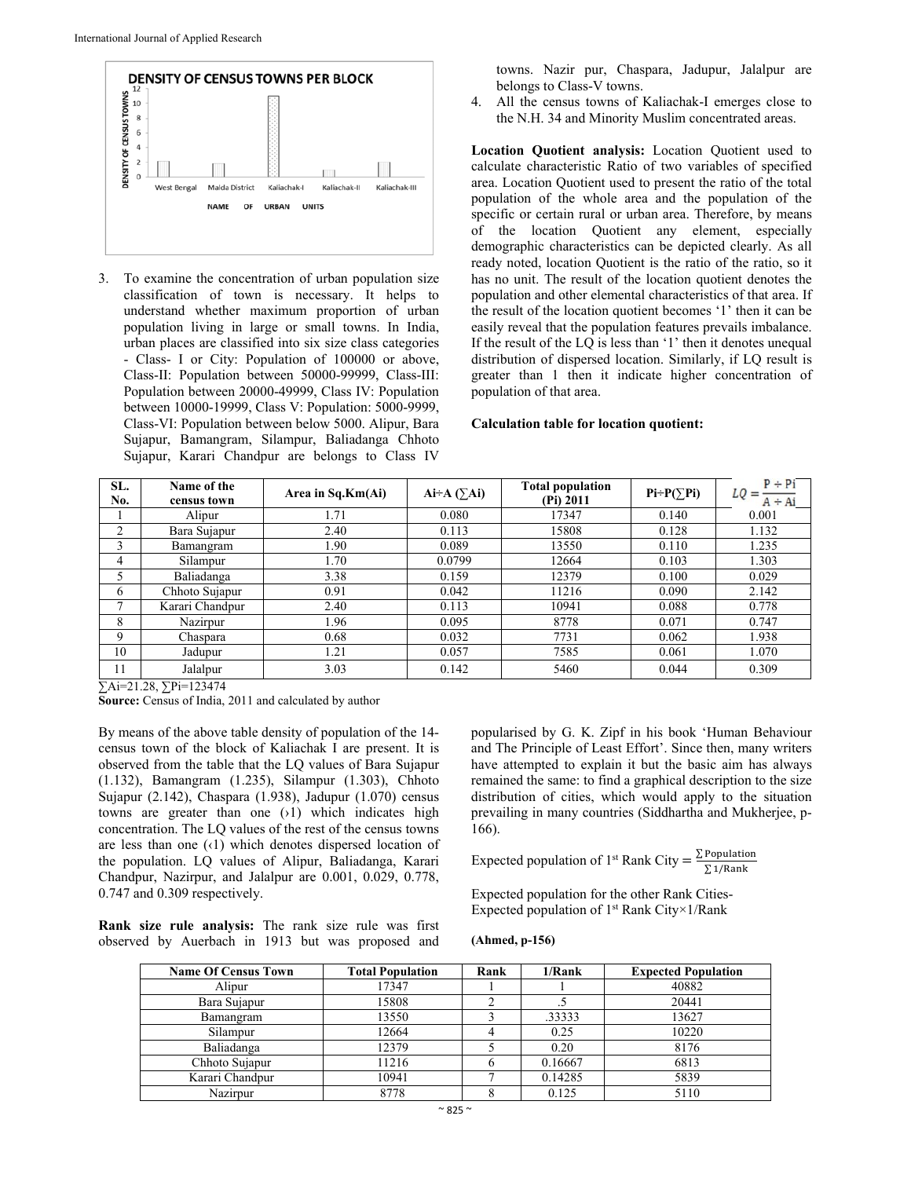

3. To examine the concentration of urban population size classification of town is necessary. It helps to understand whether maximum proportion of urban population living in large or small towns. In India, urban places are classified into six size class categories - Class- I or City: Population of 100000 or above, Class-II: Population between 50000-99999, Class-III: Population between 20000-49999, Class IV: Population between 10000-19999, Class V: Population: 5000-9999, Class-VI: Population between below 5000. Alipur, Bara Sujapur, Bamangram, Silampur, Baliadanga Chhoto Sujapur, Karari Chandpur are belongs to Class IV

towns. Nazir pur, Chaspara, Jadupur, Jalalpur are belongs to Class-V towns.

4. All the census towns of Kaliachak-I emerges close to the N.H. 34 and Minority Muslim concentrated areas.

**Location Quotient analysis:** Location Quotient used to calculate characteristic Ratio of two variables of specified area. Location Quotient used to present the ratio of the total population of the whole area and the population of the specific or certain rural or urban area. Therefore, by means of the location Quotient any element, especially demographic characteristics can be depicted clearly. As all ready noted, location Quotient is the ratio of the ratio, so it has no unit. The result of the location quotient denotes the population and other elemental characteristics of that area. If the result of the location quotient becomes '1' then it can be easily reveal that the population features prevails imbalance. If the result of the LQ is less than '1' then it denotes unequal distribution of dispersed location. Similarly, if LQ result is greater than 1 then it indicate higher concentration of population of that area.

#### **Calculation table for location quotient:**

| SL.<br>No. | Name of the<br>census town | Area in $Sq.Km(Ai)$ | $Ai \rightarrow A (\sum A i)$ | <b>Total population</b><br>(Pi) 2011 | $Pi \div P(\sum P_i)$ | $P + Pi$<br>$LQ =$<br>$A \div Ai$ |
|------------|----------------------------|---------------------|-------------------------------|--------------------------------------|-----------------------|-----------------------------------|
|            | Alipur                     | 1.71                | 0.080                         | 17347                                | 0.140                 | 0.001                             |
| 2          | Bara Sujapur               | 2.40                | 0.113                         | 15808                                | 0.128                 | 1.132                             |
| 3          | Bamangram                  | 1.90                | 0.089                         | 13550                                | 0.110                 | 1.235                             |
| 4          | Silampur                   | 1.70                | 0.0799                        | 12664                                | 0.103                 | 1.303                             |
|            | Baliadanga                 | 3.38                | 0.159                         | 12379                                | 0.100                 | 0.029                             |
| 6          | Chhoto Sujapur             | 0.91                | 0.042                         | 11216                                | 0.090                 | 2.142                             |
|            | Karari Chandpur            | 2.40                | 0.113                         | 10941                                | 0.088                 | 0.778                             |
| 8          | Nazirpur                   | 1.96                | 0.095                         | 8778                                 | 0.071                 | 0.747                             |
| 9          | Chaspara                   | 0.68                | 0.032                         | 7731                                 | 0.062                 | 1.938                             |
| 10         | Jadupur                    | 1.21                | 0.057                         | 7585                                 | 0.061                 | 1.070                             |
| 11         | Jalalpur                   | 3.03                | 0.142                         | 5460                                 | 0.044                 | 0.309                             |

∑Ai=21.28, ∑Pi=123474

**Source:** Census of India, 2011 and calculated by author

By means of the above table density of population of the 14 census town of the block of Kaliachak I are present. It is observed from the table that the LQ values of Bara Sujapur (1.132), Bamangram (1.235), Silampur (1.303), Chhoto Sujapur (2.142), Chaspara (1.938), Jadupur (1.070) census towns are greater than one  $(1)$  which indicates high concentration. The LQ values of the rest of the census towns are less than one (‹1) which denotes dispersed location of the population. LQ values of Alipur, Baliadanga, Karari Chandpur, Nazirpur, and Jalalpur are 0.001, 0.029, 0.778, 0.747 and 0.309 respectively.

**Rank size rule analysis:** The rank size rule was first observed by Auerbach in 1913 but was proposed and

popularised by G. K. Zipf in his book 'Human Behaviour and The Principle of Least Effort'. Since then, many writers have attempted to explain it but the basic aim has always remained the same: to find a graphical description to the size distribution of cities, which would apply to the situation prevailing in many countries (Siddhartha and Mukherjee, p-166).

Expected population of 1<sup>st</sup> Rank City = 
$$
\frac{\sum \text{Population}}{\sum 1/\text{Rank}}
$$

Expected population for the other Rank Cities-Expected population of  $1<sup>st</sup>$  Rank City×1/Rank

# **(Ahmed, p-156)**

| <b>Name Of Census Town</b> | <b>Total Population</b> | Rank | 1/Rank  | <b>Expected Population</b> |
|----------------------------|-------------------------|------|---------|----------------------------|
| Alipur                     | 17347                   |      |         | 40882                      |
| Bara Sujapur               | 15808                   |      |         | 20441                      |
| Bamangram                  | 13550                   |      | .33333  | 13627                      |
| Silampur                   | 12664                   |      | 0.25    | 10220                      |
| Baliadanga                 | 12379                   |      | 0.20    | 8176                       |
| Chhoto Sujapur             | 11216                   |      | 0.16667 | 6813                       |
| Karari Chandpur            | 10941                   |      | 0.14285 | 5839                       |
| Nazirpur                   | 8778                    |      | 0.125   | 5110                       |